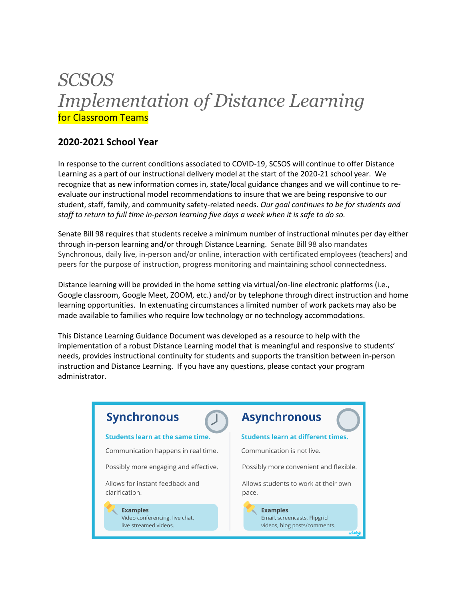# *SCSOS Implementation of Distance Learning*  for Classroom Teams

### **2020-2021 School Year**

In response to the current conditions associated to COVID-19, SCSOS will continue to offer Distance Learning as a part of our instructional delivery model at the start of the 2020-21 school year. We recognize that as new information comes in, state/local guidance changes and we will continue to reevaluate our instructional model recommendations to insure that we are being responsive to our student, staff, family, and community safety-related needs. *Our goal continues to be for students and staff to return to full time in-person learning five days a week when it is safe to do so.* 

Senate Bill 98 requires that students receive a minimum number of instructional minutes per day either through in-person learning and/or through Distance Learning. Senate Bill 98 also mandates Synchronous, daily live, in-person and/or online, interaction with certificated employees (teachers) and peers for the purpose of instruction, progress monitoring and maintaining school connectedness.

Distance learning will be provided in the home setting via virtual/on-line electronic platforms (i.e., Google classroom, Google Meet, ZOOM, etc.) and/or by telephone through direct instruction and home learning opportunities. In extenuating circumstances a limited number of work packets may also be made available to families who require low technology or no technology accommodations.

This Distance Learning Guidance Document was developed as a resource to help with the implementation of a robust Distance Learning model that is meaningful and responsive to students' needs, provides instructional continuity for students and supports the transition between in-person instruction and Distance Learning. If you have any questions, please contact your program administrator.

# **Synchronous**

#### Students learn at the same time.

- Communication happens in real time.
- Possibly more engaging and effective.

Allows for instant feedback and clarification.

> **Examples** Video conferencing, live chat, live streamed videos.

## **Asynchronous**

#### **Students learn at different times.**

Communication is not live.

Possibly more convenient and flexible.

Allows students to work at their own pace.

> **Examples** Email, screencasts, Flipgrid videos, blog posts/comments.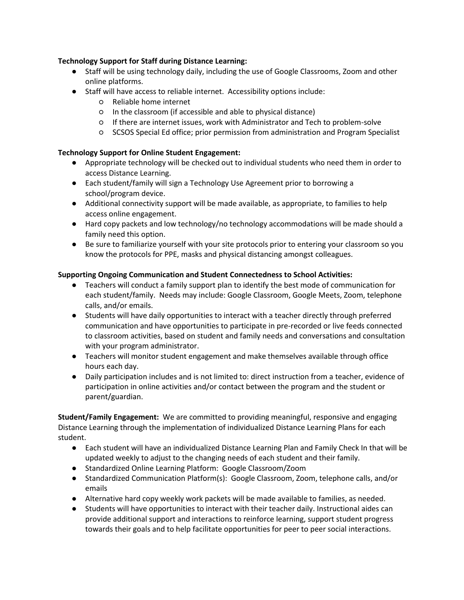#### **Technology Support for Staff during Distance Learning:**

- Staff will be using technology daily, including the use of Google Classrooms, Zoom and other online platforms.
- Staff will have access to reliable internet. Accessibility options include:
	- Reliable home internet
	- In the classroom (if accessible and able to physical distance)
	- If there are internet issues, work with Administrator and Tech to problem-solve
	- SCSOS Special Ed office; prior permission from administration and Program Specialist

#### **Technology Support for Online Student Engagement:**

- Appropriate technology will be checked out to individual students who need them in order to access Distance Learning.
- Each student/family will sign a Technology Use Agreement prior to borrowing a school/program device.
- Additional connectivity support will be made available, as appropriate, to families to help access online engagement.
- Hard copy packets and low technology/no technology accommodations will be made should a family need this option.
- Be sure to familiarize yourself with your site protocols prior to entering your classroom so you know the protocols for PPE, masks and physical distancing amongst colleagues.

#### **Supporting Ongoing Communication and Student Connectedness to School Activities:**

- Teachers will conduct a family support plan to identify the best mode of communication for each student/family. Needs may include: Google Classroom, Google Meets, Zoom, telephone calls, and/or emails.
- Students will have daily opportunities to interact with a teacher directly through preferred communication and have opportunities to participate in pre-recorded or live feeds connected to classroom activities, based on student and family needs and conversations and consultation with your program administrator.
- Teachers will monitor student engagement and make themselves available through office hours each day.
- Daily participation includes and is not limited to: direct instruction from a teacher, evidence of participation in online activities and/or contact between the program and the student or parent/guardian.

**Student/Family Engagement:** We are committed to providing meaningful, responsive and engaging Distance Learning through the implementation of individualized Distance Learning Plans for each student.

- Each student will have an individualized Distance Learning Plan and Family Check In that will be updated weekly to adjust to the changing needs of each student and their family.
- Standardized Online Learning Platform: Google Classroom/Zoom
- Standardized Communication Platform(s): Google Classroom, Zoom, telephone calls, and/or emails
- Alternative hard copy weekly work packets will be made available to families, as needed.
- Students will have opportunities to interact with their teacher daily. Instructional aides can provide additional support and interactions to reinforce learning, support student progress towards their goals and to help facilitate opportunities for peer to peer social interactions.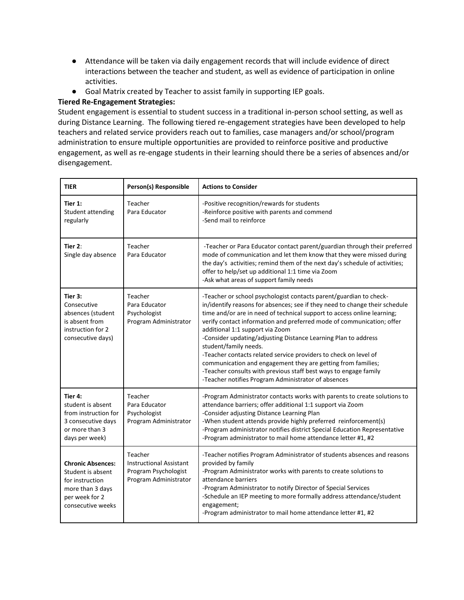- Attendance will be taken via daily engagement records that will include evidence of direct interactions between the teacher and student, as well as evidence of participation in online activities.
- Goal Matrix created by Teacher to assist family in supporting IEP goals.

#### **Tiered Re-Engagement Strategies:**

Student engagement is essential to student success in a traditional in-person school setting, as well as during Distance Learning. The following tiered re-engagement strategies have been developed to help teachers and related service providers reach out to families, case managers and/or school/program administration to ensure multiple opportunities are provided to reinforce positive and productive engagement, as well as re-engage students in their learning should there be a series of absences and/or disengagement.

| <b>TIER</b>                                                                                                                 | Person(s) Responsible                                                                      | <b>Actions to Consider</b>                                                                                                                                                                                                                                                                                                                                                                                                                                                                                                                                                                                                                                                                         |
|-----------------------------------------------------------------------------------------------------------------------------|--------------------------------------------------------------------------------------------|----------------------------------------------------------------------------------------------------------------------------------------------------------------------------------------------------------------------------------------------------------------------------------------------------------------------------------------------------------------------------------------------------------------------------------------------------------------------------------------------------------------------------------------------------------------------------------------------------------------------------------------------------------------------------------------------------|
| Tier 1:<br>Student attending<br>regularly                                                                                   | Teacher<br>Para Educator                                                                   | -Positive recognition/rewards for students<br>-Reinforce positive with parents and commend<br>-Send mail to reinforce                                                                                                                                                                                                                                                                                                                                                                                                                                                                                                                                                                              |
| Tier $2:$<br>Single day absence                                                                                             | Teacher<br>Para Educator                                                                   | -Teacher or Para Educator contact parent/guardian through their preferred<br>mode of communication and let them know that they were missed during<br>the day's activities; remind them of the next day's schedule of activities;<br>offer to help/set up additional 1:1 time via Zoom<br>-Ask what areas of support family needs                                                                                                                                                                                                                                                                                                                                                                   |
| Tier 3:<br>Consecutive<br>absences (student<br>is absent from<br>instruction for 2<br>consecutive days)                     | Teacher<br>Para Educator<br>Psychologist<br>Program Administrator                          | -Teacher or school psychologist contacts parent/guardian to check-<br>in/identify reasons for absences; see if they need to change their schedule<br>time and/or are in need of technical support to access online learning;<br>verify contact information and preferred mode of communication; offer<br>additional 1:1 support via Zoom<br>-Consider updating/adjusting Distance Learning Plan to address<br>student/family needs.<br>-Teacher contacts related service providers to check on level of<br>communication and engagement they are getting from families;<br>-Teacher consults with previous staff best ways to engage family<br>-Teacher notifies Program Administrator of absences |
| Tier 4:<br>student is absent<br>from instruction for<br>3 consecutive days<br>or more than 3<br>days per week)              | Teacher<br>Para Educator<br>Psychologist<br>Program Administrator                          | -Program Administrator contacts works with parents to create solutions to<br>attendance barriers; offer additional 1:1 support via Zoom<br>-Consider adjusting Distance Learning Plan<br>-When student attends provide highly preferred reinforcement(s)<br>-Program administrator notifies district Special Education Representative<br>-Program administrator to mail home attendance letter #1, #2                                                                                                                                                                                                                                                                                              |
| <b>Chronic Absences:</b><br>Student is absent<br>for instruction<br>more than 3 days<br>per week for 2<br>consecutive weeks | Teacher<br><b>Instructional Assistant</b><br>Program Psychologist<br>Program Administrator | -Teacher notifies Program Administrator of students absences and reasons<br>provided by family<br>-Program Administrator works with parents to create solutions to<br>attendance barriers<br>-Program Administrator to notify Director of Special Services<br>-Schedule an IEP meeting to more formally address attendance/student<br>engagement;<br>-Program administrator to mail home attendance letter #1, #2                                                                                                                                                                                                                                                                                  |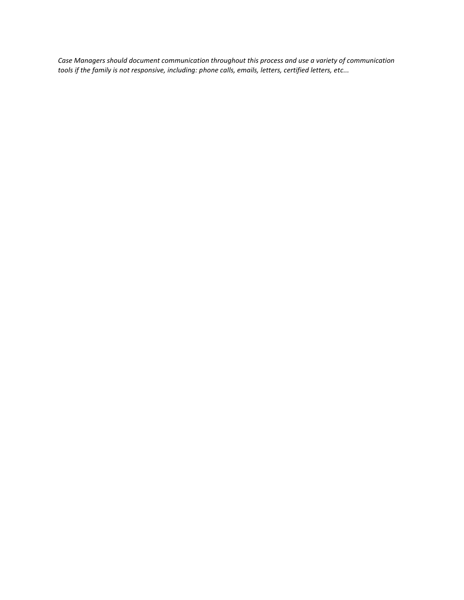*Case Managers should document communication throughout this process and use a variety of communication tools if the family is not responsive, including: phone calls, emails, letters, certified letters, etc...*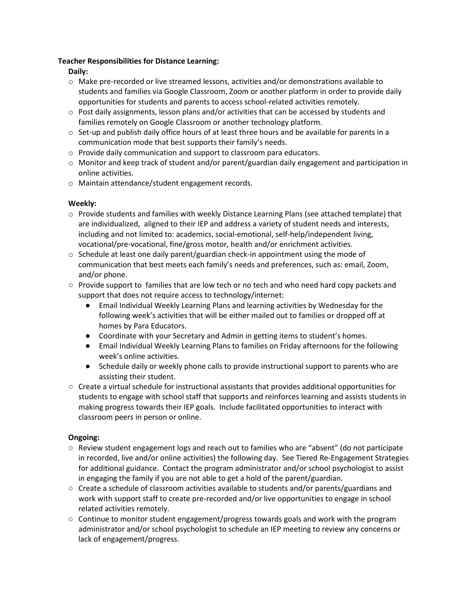#### **Teacher Responsibilities for Distance Learning:**

**Daily:**

- o Make pre-recorded or live streamed lessons, activities and/or demonstrations available to students and families via Google Classroom, Zoom or another platform in order to provide daily opportunities for students and parents to access school-related activities remotely.
- $\circ$  Post daily assignments, lesson plans and/or activities that can be accessed by students and families remotely on Google Classroom or another technology platform.
- $\circ$  Set-up and publish daily office hours of at least three hours and be available for parents in a communication mode that best supports their family's needs.
- o Provide daily communication and support to classroom para educators.
- $\circ$  Monitor and keep track of student and/or parent/guardian daily engagement and participation in online activities.
- o Maintain attendance/student engagement records.

#### **Weekly:**

- $\circ$  Provide students and families with weekly Distance Learning Plans (see attached template) that are individualized, aligned to their IEP and address a variety of student needs and interests, including and not limited to: academics, social-emotional, self-help/independent living, vocational/pre-vocational, fine/gross motor, health and/or enrichment activities.
- $\circ$  Schedule at least one daily parent/guardian check-in appointment using the mode of communication that best meets each family's needs and preferences, such as: email, Zoom, and/or phone.
- Provide support to families that are low tech or no tech and who need hard copy packets and support that does not require access to technology/internet:
	- Email Individual Weekly Learning Plans and learning activities by Wednesday for the following week's activities that will be either mailed out to families or dropped off at homes by Para Educators.
	- Coordinate with your Secretary and Admin in getting items to student's homes.
	- Email Individual Weekly Learning Plans to families on Friday afternoons for the following week's online activities.
	- Schedule daily or weekly phone calls to provide instructional support to parents who are assisting their student.
- Create a virtual schedule for instructional assistants that provides additional opportunities for students to engage with school staff that supports and reinforces learning and assists students in making progress towards their IEP goals. Include facilitated opportunities to interact with classroom peers in person or online.

### **Ongoing:**

- Review student engagement logs and reach out to families who are "absent" (do not participate in recorded, live and/or online activities) the following day. See Tiered Re-Engagement Strategies for additional guidance. Contact the program administrator and/or school psychologist to assist in engaging the family if you are not able to get a hold of the parent/guardian.
- Create a schedule of classroom activities available to students and/or parents/guardians and work with support staff to create pre-recorded and/or live opportunities to engage in school related activities remotely.
- Continue to monitor student engagement/progress towards goals and work with the program administrator and/or school psychologist to schedule an IEP meeting to review any concerns or lack of engagement/progress.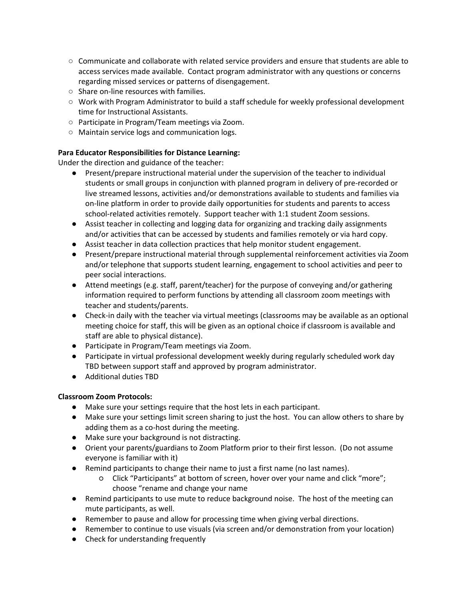- Communicate and collaborate with related service providers and ensure that students are able to access services made available. Contact program administrator with any questions or concerns regarding missed services or patterns of disengagement.
- Share on-line resources with families.
- Work with Program Administrator to build a staff schedule for weekly professional development time for Instructional Assistants.
- Participate in Program/Team meetings via Zoom.
- Maintain service logs and communication logs.

#### **Para Educator Responsibilities for Distance Learning:**

Under the direction and guidance of the teacher:

- Present/prepare instructional material under the supervision of the teacher to individual students or small groups in conjunction with planned program in delivery of pre-recorded or live streamed lessons, activities and/or demonstrations available to students and families via on-line platform in order to provide daily opportunities for students and parents to access school-related activities remotely. Support teacher with 1:1 student Zoom sessions.
- Assist teacher in collecting and logging data for organizing and tracking daily assignments and/or activities that can be accessed by students and families remotely or via hard copy.
- Assist teacher in data collection practices that help monitor student engagement.
- Present/prepare instructional material through supplemental reinforcement activities via Zoom and/or telephone that supports student learning, engagement to school activities and peer to peer social interactions.
- Attend meetings (e.g. staff, parent/teacher) for the purpose of conveying and/or gathering information required to perform functions by attending all classroom zoom meetings with teacher and students/parents.
- Check-in daily with the teacher via virtual meetings (classrooms may be available as an optional meeting choice for staff, this will be given as an optional choice if classroom is available and staff are able to physical distance).
- Participate in Program/Team meetings via Zoom.
- Participate in virtual professional development weekly during regularly scheduled work day TBD between support staff and approved by program administrator.
- Additional duties TBD

#### **Classroom Zoom Protocols:**

- Make sure your settings require that the host lets in each participant.
- Make sure your settings limit screen sharing to just the host. You can allow others to share by adding them as a co-host during the meeting.
- Make sure your background is not distracting.
- Orient your parents/guardians to Zoom Platform prior to their first lesson. (Do not assume everyone is familiar with it)
- Remind participants to change their name to just a first name (no last names).
	- Click "Participants" at bottom of screen, hover over your name and click "more"; choose "rename and change your name
- Remind participants to use mute to reduce background noise. The host of the meeting can mute participants, as well.
- Remember to pause and allow for processing time when giving verbal directions.
- Remember to continue to use visuals (via screen and/or demonstration from your location)
- Check for understanding frequently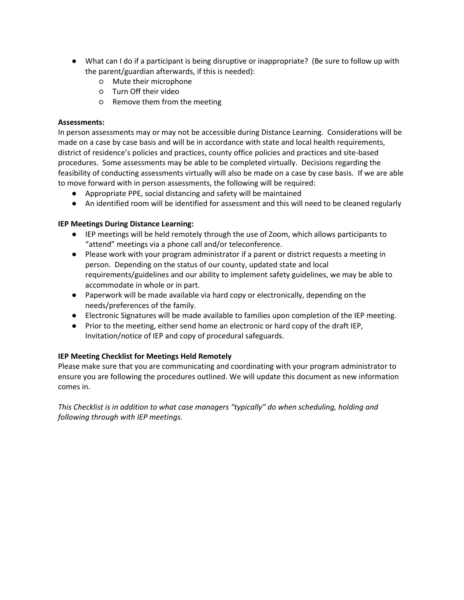- What can I do if a participant is being disruptive or inappropriate? (Be sure to follow up with the parent/guardian afterwards, if this is needed):
	- Mute their microphone
	- Turn Off their video
	- Remove them from the meeting

#### **Assessments:**

In person assessments may or may not be accessible during Distance Learning. Considerations will be made on a case by case basis and will be in accordance with state and local health requirements, district of residence's policies and practices, county office policies and practices and site-based procedures. Some assessments may be able to be completed virtually. Decisions regarding the feasibility of conducting assessments virtually will also be made on a case by case basis. If we are able to move forward with in person assessments, the following will be required:

- Appropriate PPE, social distancing and safety will be maintained
- An identified room will be identified for assessment and this will need to be cleaned regularly

#### **IEP Meetings During Distance Learning:**

- IEP meetings will be held remotely through the use of Zoom, which allows participants to "attend" meetings via a phone call and/or teleconference.
- Please work with your program administrator if a parent or district requests a meeting in person. Depending on the status of our county, updated state and local requirements/guidelines and our ability to implement safety guidelines, we may be able to accommodate in whole or in part.
- Paperwork will be made available via hard copy or electronically, depending on the needs/preferences of the family.
- Electronic Signatures will be made available to families upon completion of the IEP meeting.
- Prior to the meeting, either send home an electronic or hard copy of the draft IEP, Invitation/notice of IEP and copy of procedural safeguards.

#### **IEP Meeting Checklist for Meetings Held Remotely**

Please make sure that you are communicating and coordinating with your program administrator to ensure you are following the procedures outlined. We will update this document as new information comes in.

*This Checklist is in addition to what case managers "typically" do when scheduling, holding and following through with IEP meetings.*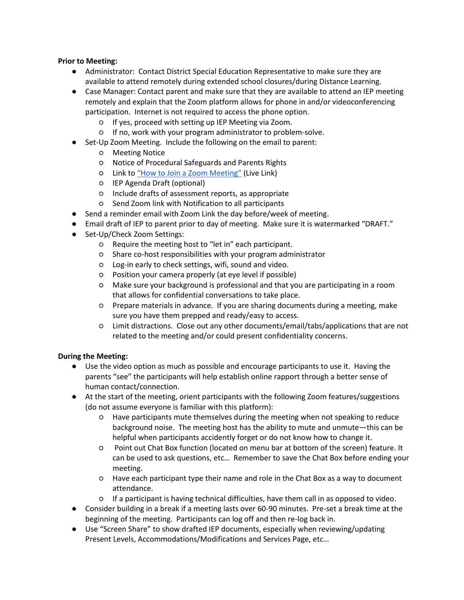#### **Prior to Meeting:**

- Administrator: Contact District Special Education Representative to make sure they are available to attend remotely during extended school closures/during Distance Learning.
- Case Manager: Contact parent and make sure that they are available to attend an IEP meeting remotely and explain that the Zoom platform allows for phone in and/or videoconferencing participation. Internet is not required to access the phone option.
	- If yes, proceed with setting up IEP Meeting via Zoom.
	- If no, work with your program administrator to problem-solve.
- Set-Up Zoom Meeting. Include the following on the email to parent:
	- Meeting Notice
	- Notice of Procedural Safeguards and Parents Rights
	- Link to ["How to Join a Zoom Meeting"](https://docs.google.com/presentation/d/1x-7V0UkaPzwD_XUkDfzUxwtjx7hr73eQaq3Zi1vZ4MA/present?ueb=true#slide=id.g816f481baf_0_0) (Live Link)
	- IEP Agenda Draft (optional)
	- Include drafts of assessment reports, as appropriate
	- Send Zoom link with Notification to all participants
- Send a reminder email with Zoom Link the day before/week of meeting.
- **Email draft of IEP to parent prior to day of meeting. Make sure it is watermarked "DRAFT."**
- Set-Up/Check Zoom Settings:
	- Require the meeting host to "let in" each participant.
	- Share co-host responsibilities with your program administrator
	- Log-in early to check settings, wifi, sound and video.
	- Position your camera properly (at eye level if possible)
	- Make sure your background is professional and that you are participating in a room that allows for confidential conversations to take place.
	- Prepare materials in advance. If you are sharing documents during a meeting, make sure you have them prepped and ready/easy to access.
	- Limit distractions. Close out any other documents/email/tabs/applications that are not related to the meeting and/or could present confidentiality concerns.

#### **During the Meeting:**

- Use the video option as much as possible and encourage participants to use it. Having the parents "see" the participants will help establish online rapport through a better sense of human contact/connection.
- At the start of the meeting, orient participants with the following Zoom features/suggestions (do not assume everyone is familiar with this platform):
	- Have participants mute themselves during the meeting when not speaking to reduce background noise. The meeting host has the ability to mute and unmute—this can be helpful when participants accidently forget or do not know how to change it.
	- Point out Chat Box function (located on menu bar at bottom of the screen) feature. It can be used to ask questions, etc… Remember to save the Chat Box before ending your meeting.
	- Have each participant type their name and role in the Chat Box as a way to document attendance.
	- If a participant is having technical difficulties, have them call in as opposed to video.
- Consider building in a break if a meeting lasts over 60-90 minutes. Pre-set a break time at the beginning of the meeting. Participants can log off and then re-log back in.
- Use "Screen Share" to show drafted IEP documents, especially when reviewing/updating Present Levels, Accommodations/Modifications and Services Page, etc…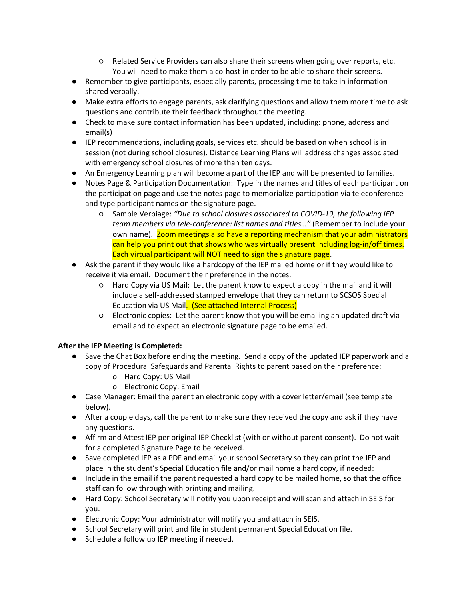- Related Service Providers can also share their screens when going over reports, etc. You will need to make them a co-host in order to be able to share their screens.
- Remember to give participants, especially parents, processing time to take in information shared verbally.
- Make extra efforts to engage parents, ask clarifying questions and allow them more time to ask questions and contribute their feedback throughout the meeting.
- Check to make sure contact information has been updated, including: phone, address and email(s)
- IEP recommendations, including goals, services etc. should be based on when school is in session (not during school closures). Distance Learning Plans will address changes associated with emergency school closures of more than ten days.
- An Emergency Learning plan will become a part of the IEP and will be presented to families.
- Notes Page & Participation Documentation: Type in the names and titles of each participant on the participation page and use the notes page to memorialize participation via teleconference and type participant names on the signature page.
	- Sample Verbiage: *"Due to school closures associated to COVID-19, the following IEP team members via tele-conference: list names and titles…"* (Remember to include your own name). Zoom meetings also have a reporting mechanism that your administrators can help you print out that shows who was virtually present including log-in/off times. Each virtual participant will NOT need to sign the signature page.
- Ask the parent if they would like a hardcopy of the IEP mailed home or if they would like to receive it via email. Document their preference in the notes.
	- Hard Copy via US Mail: Let the parent know to expect a copy in the mail and it will include a self-addressed stamped envelope that they can return to SCSOS Special Education via US Mail. (See attached Internal Process)
	- Electronic copies: Let the parent know that you will be emailing an updated draft via email and to expect an electronic signature page to be emailed.

#### **After the IEP Meeting is Completed:**

- Save the Chat Box before ending the meeting. Send a copy of the updated IEP paperwork and a copy of Procedural Safeguards and Parental Rights to parent based on their preference:
	- o Hard Copy: US Mail
	- o Electronic Copy: Email
- Case Manager: Email the parent an electronic copy with a cover letter/email (see template below).
- After a couple days, call the parent to make sure they received the copy and ask if they have any questions.
- Affirm and Attest IEP per original IEP Checklist (with or without parent consent). Do not wait for a completed Signature Page to be received.
- Save completed IEP as a PDF and email your school Secretary so they can print the IEP and place in the student's Special Education file and/or mail home a hard copy, if needed:
- Include in the email if the parent requested a hard copy to be mailed home, so that the office staff can follow through with printing and mailing.
- Hard Copy: School Secretary will notify you upon receipt and will scan and attach in SEIS for you.
- Electronic Copy: Your administrator will notify you and attach in SEIS.
- School Secretary will print and file in student permanent Special Education file.
- Schedule a follow up IEP meeting if needed.